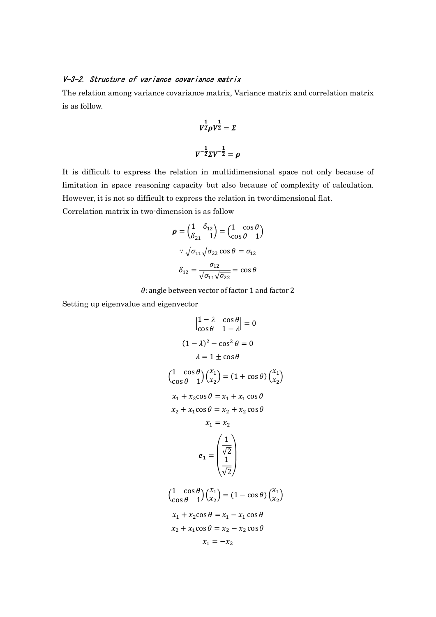## V-3-2. Structure of variance covariance matrix

The relation among variance covariance matrix, Variance matrix and correlation matrix is as follow.

$$
V^{\frac{1}{2}} \rho V^{\frac{1}{2}} = \Sigma
$$

$$
V^{-\frac{1}{2}} \Sigma V^{-\frac{1}{2}} = \rho
$$

It is difficult to express the relation in multidimensional space not only because of limitation in space reasoning capacity but also because of complexity of calculation. However, it is not so difficult to express the relation in two-dimensional flat.

Correlation matrix in two-dimension is as follow

$$
\rho = \begin{pmatrix} 1 & \delta_{12} \\ \delta_{21} & 1 \end{pmatrix} = \begin{pmatrix} 1 & \cos \theta \\ \cos \theta & 1 \end{pmatrix}
$$

$$
\therefore \sqrt{\sigma_{11}} \sqrt{\sigma_{22}} \cos \theta = \sigma_{12}
$$

$$
\delta_{12} = \frac{\sigma_{12}}{\sqrt{\sigma_{11}} \sqrt{\sigma_{22}}} = \cos \theta
$$

 $\theta$ : angle between vector of factor 1 and factor 2

Setting up eigenvalue and eigenvector

$$
\begin{vmatrix} 1 - \lambda & \cos \theta \\ \cos \theta & 1 - \lambda \end{vmatrix} = 0
$$
  
\n
$$
(1 - \lambda)^2 - \cos^2 \theta = 0
$$
  
\n
$$
\lambda = 1 \pm \cos \theta
$$
  
\n
$$
\left(\frac{1}{\cos \theta} \frac{\cos \theta}{1}\right) \left(\frac{x_1}{x_2}\right) = (1 + \cos \theta) \left(\frac{x_1}{x_2}\right)
$$
  
\n
$$
x_1 + x_2 \cos \theta = x_1 + x_1 \cos \theta
$$
  
\n
$$
x_2 + x_1 \cos \theta = x_2 + x_2 \cos \theta
$$
  
\n
$$
x_1 = x_2
$$
  
\n
$$
e_1 = \begin{pmatrix} \frac{1}{\sqrt{2}} \\ \frac{1}{\sqrt{2}} \end{pmatrix}
$$
  
\n
$$
\left(\frac{1}{\cos \theta} \frac{\cos \theta}{1}\right) \left(\frac{x_1}{x_2}\right) = (1 - \cos \theta) \left(\frac{x_1}{x_2}\right)
$$
  
\n
$$
x_1 + x_2 \cos \theta = x_1 - x_1 \cos \theta
$$
  
\n
$$
x_2 + x_1 \cos \theta = x_2 - x_2 \cos \theta
$$
  
\n
$$
x_1 = -x_2
$$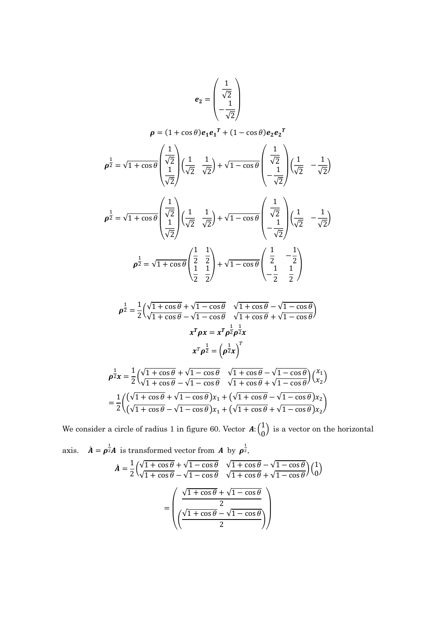$$
e_2 = \begin{pmatrix} \frac{1}{\sqrt{2}} \\ -\frac{1}{\sqrt{2}} \end{pmatrix}
$$
  
\n
$$
\rho = (1 + \cos \theta) e_1 e_1^T + (1 - \cos \theta) e_2 e_2^T
$$
  
\n
$$
\rho^{\frac{1}{2}} = \sqrt{1 + \cos \theta} \begin{pmatrix} \frac{1}{\sqrt{2}} \\ \frac{1}{\sqrt{2}} \end{pmatrix} \left(\frac{1}{\sqrt{2}} \frac{1}{\sqrt{2}}\right) + \sqrt{1 - \cos \theta} \begin{pmatrix} \frac{1}{\sqrt{2}} \\ -\frac{1}{\sqrt{2}} \end{pmatrix} \left(\frac{1}{\sqrt{2}} - \frac{1}{\sqrt{2}}\right)
$$
  
\n
$$
\rho^{\frac{1}{2}} = \sqrt{1 + \cos \theta} \begin{pmatrix} \frac{1}{\sqrt{2}} \\ \frac{1}{\sqrt{2}} \end{pmatrix} \left(\frac{1}{\sqrt{2}} \frac{1}{\sqrt{2}}\right) + \sqrt{1 - \cos \theta} \begin{pmatrix} \frac{1}{\sqrt{2}} \\ -\frac{1}{\sqrt{2}} \end{pmatrix} \left(\frac{1}{\sqrt{2}} - \frac{1}{\sqrt{2}}\right)
$$
  
\n
$$
\rho^{\frac{1}{2}} = \sqrt{1 + \cos \theta} \begin{pmatrix} \frac{1}{2} & \frac{1}{2} \\ \frac{1}{2} & \frac{1}{2} \end{pmatrix} + \sqrt{1 - \cos \theta} \begin{pmatrix} \frac{1}{2} & -\frac{1}{2} \\ \frac{1}{2} & -\frac{1}{2} \\ -\frac{1}{2} & \frac{1}{2} \end{pmatrix}
$$

$$
\rho^{\frac{1}{2}} = \frac{1}{2} \left( \frac{\sqrt{1 + \cos \theta}}{\sqrt{1 + \cos \theta}} + \sqrt{1 - \cos \theta} \right) \frac{\sqrt{1 + \cos \theta}}{\sqrt{1 + \cos \theta} + \sqrt{1 - \cos \theta}} \nx^T \rho x = x^T \rho^{\frac{1}{2}} \rho^{\frac{1}{2}} x
$$
\n
$$
x^T \rho^{\frac{1}{2}} = \left( \rho^{\frac{1}{2}} x \right)^T
$$
\n
$$
r = \frac{1}{2} \left( \sqrt{1 + \cos \theta} + \sqrt{1 - \cos \theta} \right) \sqrt{1 + \cos \theta} - \sqrt{1 - \cos \theta} \right) \left( \frac{x}{\sqrt{1 + \cos \theta}} \right)
$$

$$
\rho^{\frac{1}{2}}x = \frac{1}{2} \left( \frac{\sqrt{1 + \cos \theta} + \sqrt{1 - \cos \theta}}{\sqrt{1 + \cos \theta} - \sqrt{1 - \cos \theta}} \right) \left( \frac{x_1}{x_2} \right)
$$

$$
= \frac{1}{2} \left( \left( \frac{\sqrt{1 + \cos \theta} + \sqrt{1 - \cos \theta}}{\sqrt{1 + \cos \theta} + \sqrt{1 - \cos \theta}} \right) x_1 + \left( \sqrt{1 + \cos \theta} - \sqrt{1 - \cos \theta} \right) x_2 \right)
$$

$$
= \frac{1}{2} \left( \frac{(\sqrt{1 + \cos \theta} + \sqrt{1 - \cos \theta}) x_1 + (\sqrt{1 + \cos \theta} + \sqrt{1 - \cos \theta}) x_2}{(\sqrt{1 + \cos \theta} + \sqrt{1 - \cos \theta}) x_1 + (\sqrt{1 + \cos \theta} + \sqrt{1 - \cos \theta}) x_2} \right)
$$

We consider a circle of radius 1 in figure 60. Vector  $A: \begin{pmatrix} 1 & 1 \\ 0 & 1 \end{pmatrix}$  $\binom{1}{0}$  is a vector on the horizontal

axis. 
$$
\hat{A} = \rho^{\frac{1}{2}} A
$$
 is transformed vector from  $A$  by  $\rho^{\frac{1}{2}}$ .  
\n
$$
\hat{A} = \frac{1}{2} \left( \frac{\sqrt{1 + \cos \theta}}{\sqrt{1 + \cos \theta} - \sqrt{1 - \cos \theta}} \frac{\sqrt{1 + \cos \theta}}{\sqrt{1 + \cos \theta} + \sqrt{1 - \cos \theta}} \right) \left( \frac{1}{0} \right)
$$
\n
$$
= \left( \frac{\sqrt{1 + \cos \theta} + \sqrt{1 - \cos \theta}}{2} \right)
$$
\n
$$
= \left( \frac{\sqrt{1 + \cos \theta} + \sqrt{1 - \cos \theta}}{2} \right)
$$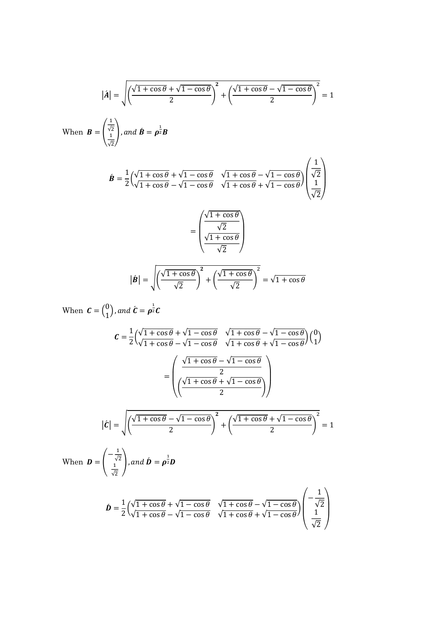$$
|\hat{A}| = \sqrt{\left(\frac{\sqrt{1 + \cos \theta} + \sqrt{1 - \cos \theta}}{2}\right)^2 + \left(\frac{\sqrt{1 + \cos \theta} - \sqrt{1 - \cos \theta}}{2}\right)^2} = 1
$$
  
When  $\mathbf{B} = \begin{pmatrix} \frac{1}{\sqrt{2}} \\ \frac{1}{\sqrt{2}} \end{pmatrix}$ , and  $\hat{\mathbf{B}} = \rho^{\frac{1}{2}} \mathbf{B}$   

$$
\hat{\mathbf{B}} = \frac{1}{2} \left(\frac{\sqrt{1 + \cos \theta} + \sqrt{1 - \cos \theta}}{\sqrt{1 + \cos \theta} - \sqrt{1 - \cos \theta}} \frac{\sqrt{1 + \cos \theta} - \sqrt{1 - \cos \theta}}{\sqrt{1 + \cos \theta} + \sqrt{1 - \cos \theta}} \right) \left(\frac{1}{\sqrt{2}}\right)
$$

$$
= \left(\frac{\sqrt{1 + \cos \theta}}{\sqrt{2}}\right)
$$

$$
|\hat{\mathbf{B}}| = \sqrt{\left(\frac{\sqrt{1 + \cos \theta}}{\sqrt{2}}\right)^2 + \left(\frac{\sqrt{1 + \cos \theta}}{\sqrt{2}}\right)^2} = \sqrt{1 + \cos \theta}
$$

When 
$$
\mathbf{C} = \begin{pmatrix} 0 \\ 1 \end{pmatrix}
$$
, and  $\mathbf{\hat{C}} = \mathbf{p}^{\frac{1}{2}} \mathbf{C}$   
\n
$$
\mathbf{C} = \frac{1}{2} \Big( \frac{\sqrt{1 + \cos \theta} + \sqrt{1 - \cos \theta}}{\sqrt{1 + \cos \theta} - \sqrt{1 - \cos \theta}} \frac{\sqrt{1 + \cos \theta} - \sqrt{1 - \cos \theta}}{\sqrt{1 + \cos \theta} + \sqrt{1 - \cos \theta}} \Big) \Big( \begin{pmatrix} 0 \\ 1 \end{pmatrix} \Big)
$$
\n
$$
= \left( \frac{\sqrt{1 + \cos \theta} - \sqrt{1 - \cos \theta}}{\sqrt{1 + \cos \theta} + \sqrt{1 - \cos \theta}} \right)
$$
\n
$$
|\mathbf{\hat{C}}| = \sqrt{\frac{\sqrt{1 + \cos \theta} - \sqrt{1 - \cos \theta}}{2}} \mathbf{\hat{C}} + \left( \frac{\sqrt{1 + \cos \theta} + \sqrt{1 - \cos \theta}}{2} \right)^2 = 1
$$
\nWhen  $\mathbf{D} = \left( -\frac{1}{\sqrt{2}} \right)$ , and  $\mathbf{\hat{D}} = \mathbf{p}^{\frac{1}{2}} \mathbf{D}$   
\n
$$
\mathbf{\hat{D}} = \frac{1}{2} \Big( \frac{\sqrt{1 + \cos \theta} + \sqrt{1 - \cos \theta}}{\sqrt{1 + \cos \theta} + \sqrt{1 - \cos \theta}} \frac{\sqrt{1 + \cos \theta} - \sqrt{1 - \cos \theta}}{\sqrt{1 + \cos \theta} + \sqrt{1 - \cos \theta}} \Big) \left( -\frac{1}{\sqrt{2}} \right)
$$